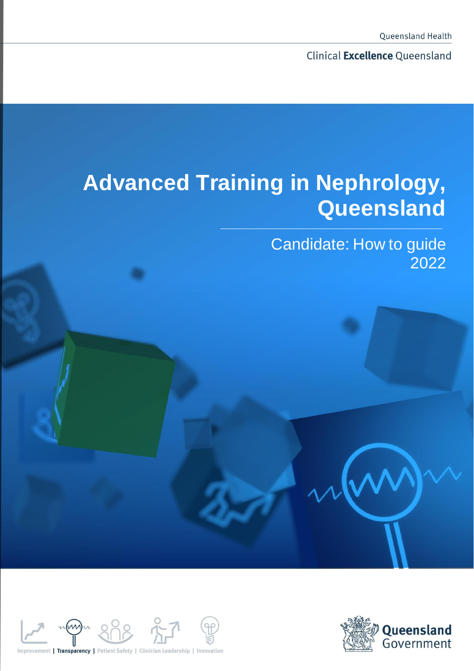Clinical Excellence Queensland

# **Advanced Training in Nephrology, Queensland**

Candidate: How to guide 2022



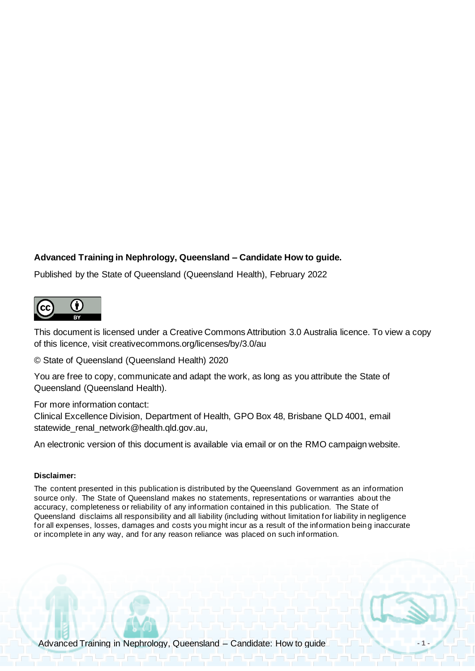#### **Advanced Training in Nephrology, Queensland – Candidate How to guide.**

Published by the State of Queensland (Queensland Health), February 2022



This document is licensed under a Creative Commons Attribution 3.0 Australia licence. To view a copy of this licence, visit creativecommons.org/licenses/by/3.0/au

© State of Queensland (Queensland Health) 2020

You are free to copy, communicate and adapt the work, as long as you attribute the State of Queensland (Queensland Health).

For more information contact:

Clinical Excellence Division, Department of Health, GPO Box 48, Brisbane QLD 4001, email statewide\_renal\_network@health.qld.gov.au,

An electronic version of this document is available via email or on the RMO campaign website.

#### **Disclaimer:**

The content presented in this publication is distributed by the Queensland Government as an information source only. The State of Queensland makes no statements, representations or warranties about the accuracy, completeness or reliability of any information contained in this publication. The State of Queensland disclaims all responsibility and all liability (including without limitation for liability in negligence for all expenses, losses, damages and costs you might incur as a result of the information being inaccurate or incomplete in any way, and for any reason reliance was placed on such information.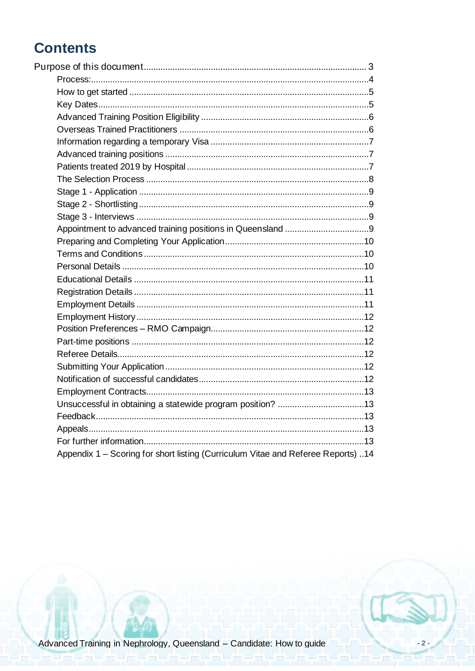# **Contents**

| Appendix 1 – Scoring for short listing (Curriculum Vitae and Referee Reports) 14 |
|----------------------------------------------------------------------------------|

 $-2-$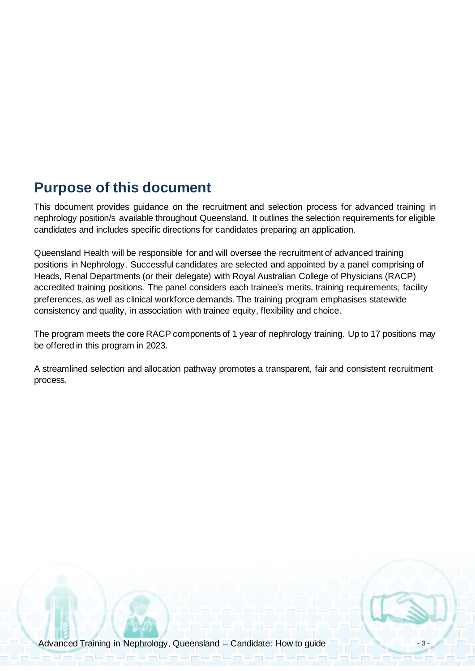# <span id="page-3-0"></span>**Purpose of this document**

This document provides guidance on the recruitment and selection process for advanced training in nephrology position/s available throughout Queensland. It outlines the selection requirements for eligible candidates and includes specific directions for candidates preparing an application.

Queensland Health will be responsible for and will oversee the recruitment of advanced training positions in Nephrology. Successful candidates are selected and appointed by a panel comprising of Heads, Renal Departments (or their delegate) with Royal Australian College of Physicians (RACP) accredited training positions. The panel considers each trainee's merits, training requirements, facility preferences, as well as clinical workforce demands. The training program emphasises statewide consistency and quality, in association with trainee equity, flexibility and choice.

The program meets the core RACP components of 1 year of nephrology training. Up to 17 positions may be offered in this program in 2023.

A streamlined selection and allocation pathway promotes a transparent, fair and consistent recruitment process.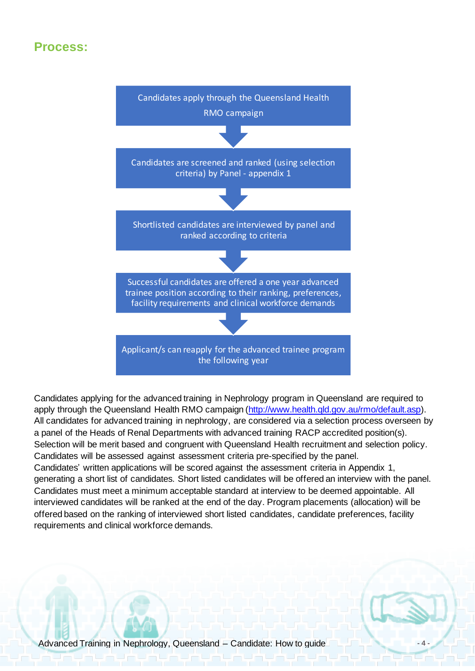### <span id="page-4-0"></span>**Process:**



Candidates applying for the advanced training in Nephrology program in Queensland are required to apply through the Queensland Health RMO campaign [\(http://www.health.qld.gov.au/rmo/default.asp\)](http://www.health.qld.gov.au/rmo/default.asp). All candidates for advanced training in nephrology, are considered via a selection process overseen by a panel of the Heads of Renal Departments with advanced training RACP accredited position(s). Selection will be merit based and congruent with Queensland Health recruitment and selection policy. Candidates will be assessed against assessment criteria pre-specified by the panel. Candidates' written applications will be scored against the assessment criteria in Appendix 1, generating a short list of candidates. Short listed candidates will be offered an interview with the panel. Candidates must meet a minimum acceptable standard at interview to be deemed appointable. All interviewed candidates will be ranked at the end of the day. Program placements (allocation) will be offered based on the ranking of interviewed short listed candidates, candidate preferences, facility requirements and clinical workforce demands.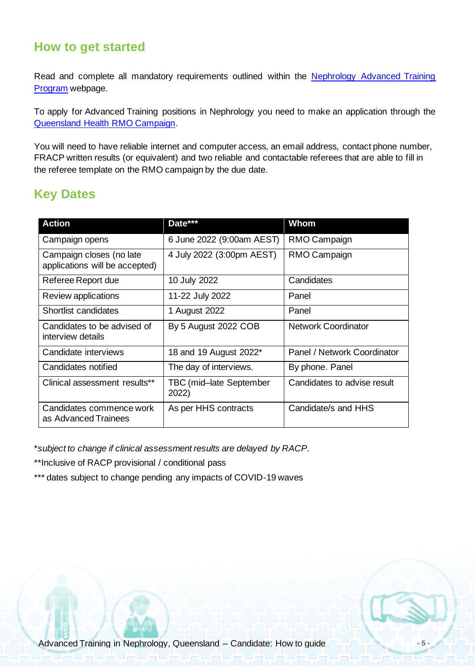### <span id="page-5-0"></span>**How to get started**

Read and complete all mandatory requirements outlined within the Nephrology Advanced Training [Program](https://www.health.qld.gov.au/employment/work-for-us/clinical/medical/recruitment/training/nephrology) webpage.

To apply for Advanced Training positions in Nephrology you need to make an application through the [Queensland Health RMO Campaign.](https://www.health.qld.gov.au/employment/work-for-us/clinical/medical/recruitment/rmo/campaigns)

You will need to have reliable internet and computer access, an email address, contact phone number, FRACP written results (or equivalent) and two reliable and contactable referees that are able to fill in the referee template on the RMO campaign by the due date.

### <span id="page-5-1"></span>**Key Dates**

| <b>Action</b>                                              | Date***                          | <b>Whom</b>                 |
|------------------------------------------------------------|----------------------------------|-----------------------------|
| Campaign opens                                             | 6 June 2022 (9:00am AEST)        | RMO Campaign                |
| Campaign closes (no late<br>applications will be accepted) | 4 July 2022 (3:00pm AEST)        | RMO Campaign                |
| Referee Report due                                         | 10 July 2022                     | Candidates                  |
| Review applications                                        | 11-22 July 2022                  | Panel                       |
| Shortlist candidates                                       | 1 August 2022                    | Panel                       |
| Candidates to be advised of<br>interview details           | By 5 August 2022 COB             | <b>Network Coordinator</b>  |
| Candidate interviews                                       | 18 and 19 August 2022*           | Panel / Network Coordinator |
| Candidates notified                                        | The day of interviews.           | By phone. Panel             |
| Clinical assessment results**                              | TBC (mid-late September<br>2022) | Candidates to advise result |
| Candidates commence work<br>as Advanced Trainees           | As per HHS contracts             | Candidate/s and HHS         |

\**subject to change if clinical assessment results are delayed by RACP.*

\*\*Inclusive of RACP provisional / conditional pass

<span id="page-5-2"></span>\*\*\* dates subject to change pending any impacts of COVID-19 waves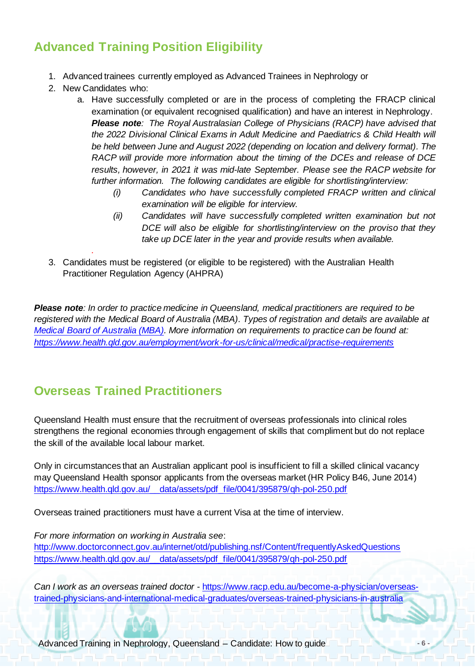# **Advanced Training Position Eligibility**

- 1. Advanced trainees currently employed as Advanced Trainees in Nephrology or
- 2. New Candidates who:

*.* 

- a. Have successfully completed or are in the process of completing the FRACP clinical examination (or equivalent recognised qualification) and have an interest in Nephrology. *Please note: The Royal Australasian College of Physicians (RACP) have advised that the 2022 Divisional Clinical Exams in Adult Medicine and Paediatrics & Child Health will be held between June and August 2022 (depending on location and delivery format). The RACP will provide more information about the timing of the DCEs and release of DCE results, however, in 2021 it was mid-late September. Please see the RACP website for further information. The following candidates are eligible for shortlisting/interview:*
	- *(i) Candidates who have successfully completed FRACP written and clinical examination will be eligible for interview.*
	- *(ii) Candidates will have successfully completed written examination but not DCE will also be eligible for shortlisting/interview on the proviso that they take up DCE later in the year and provide results when available.*
- 3. Candidates must be registered (or eligible to be registered) with the Australian Health Practitioner Regulation Agency (AHPRA)

*Please note: In order to practice medicine in Queensland, medical practitioners are required to be registered with the Medical Board of Australia (MBA). Types of registration and details are available at [Medical Board of Australia \(MBA\).](http://www.medicalboard.gov.au/) More information on requirements to practice can be found at: <https://www.health.qld.gov.au/employment/work-for-us/clinical/medical/practise-requirements>*

# <span id="page-6-0"></span>**Overseas Trained Practitioners**

Queensland Health must ensure that the recruitment of overseas professionals into clinical roles strengthens the regional economies through engagement of skills that compliment but do not replace the skill of the available local labour market.

Only in circumstances that an Australian applicant pool is insufficient to fill a skilled clinical vacancy may Queensland Health sponsor applicants from the overseas market (HR Policy B46, June 2014) [https://www.health.qld.gov.au/\\_\\_data/assets/pdf\\_file/0041/395879/qh-pol-250.pdf](https://www.health.qld.gov.au/__data/assets/pdf_file/0041/395879/qh-pol-250.pdf)

Overseas trained practitioners must have a current Visa at the time of interview.

*For more information on working in Australia see*:

<http://www.doctorconnect.gov.au/internet/otd/publishing.nsf/Content/frequentlyAskedQuestions> [https://www.health.qld.gov.au/\\_\\_data/assets/pdf\\_file/0041/395879/qh-pol-250.pdf](https://www.health.qld.gov.au/__data/assets/pdf_file/0041/395879/qh-pol-250.pdf)

*Can I work as an overseas trained doctor* - [https://www.racp.edu.au/become-a-physician/overseas](https://www.racp.edu.au/become-a-physician/overseas-trained-physicians-and-international-medical-graduates/overseas-trained-physicians-in-australia)[trained-physicians-and-international-medical-graduates/overseas-trained-physicians-in-australia](https://www.racp.edu.au/become-a-physician/overseas-trained-physicians-and-international-medical-graduates/overseas-trained-physicians-in-australia)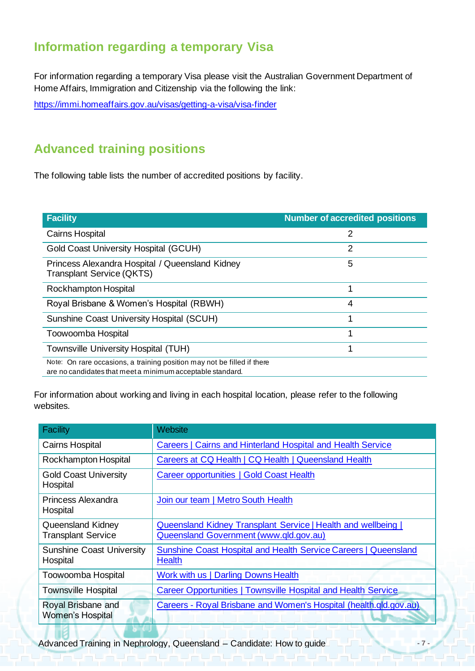## <span id="page-7-0"></span>**Information regarding a temporary Visa**

For information regarding a temporary Visa please visit the Australian Government Department of Home Affairs, Immigration and Citizenship via the following the link:

<https://immi.homeaffairs.gov.au/visas/getting-a-visa/visa-finder>

# <span id="page-7-1"></span>**Advanced training positions**

The following table lists the number of accredited positions by facility.

<span id="page-7-2"></span>

| <b>Facility</b>                                                                                                                       | <b>Number of accredited positions</b> |
|---------------------------------------------------------------------------------------------------------------------------------------|---------------------------------------|
| <b>Cairns Hospital</b>                                                                                                                | 2                                     |
| <b>Gold Coast University Hospital (GCUH)</b>                                                                                          | 2                                     |
| Princess Alexandra Hospital / Queensland Kidney<br><b>Transplant Service (QKTS)</b>                                                   | 5                                     |
| Rockhampton Hospital                                                                                                                  | 1                                     |
| Royal Brisbane & Women's Hospital (RBWH)                                                                                              | 4                                     |
| Sunshine Coast University Hospital (SCUH)                                                                                             | 1                                     |
| Toowoomba Hospital                                                                                                                    | 1                                     |
| Townsville University Hospital (TUH)                                                                                                  | 1                                     |
| Note: On rare occasions, a training position may not be filled if there<br>are no candidates that meet a minimum acceptable standard. |                                       |

For information about working and living in each hospital location, please refer to the following websites.

| Facility                                              | Website                                                                                                        |
|-------------------------------------------------------|----------------------------------------------------------------------------------------------------------------|
| <b>Cairns Hospital</b>                                | Careers   Cairns and Hinterland Hospital and Health Service                                                    |
| Rockhampton Hospital                                  | Careers at CQ Health   CQ Health   Queensland Health                                                           |
| <b>Gold Coast University</b><br>Hospital              | Career opportunities   Gold Coast Health                                                                       |
| Princess Alexandra<br>Hospital                        | Join our team   Metro South Health                                                                             |
| <b>Queensland Kidney</b><br><b>Transplant Service</b> | <b>Queensland Kidney Transplant Service   Health and wellbeing  </b><br>Queensland Government (www.qld.gov.au) |
| <b>Sunshine Coast University</b><br>Hospital          | <b>Sunshine Coast Hospital and Health Service Careers   Queensland</b><br><b>Health</b>                        |
| Toowoomba Hospital                                    | Work with us   Darling Downs Health                                                                            |
| <b>Townsville Hospital</b>                            | Career Opportunities   Townsville Hospital and Health Service                                                  |
| Royal Brisbane and<br><b>Women's Hospital</b>         | Careers - Royal Brisbane and Women's Hospital (health.qld.gov.au)                                              |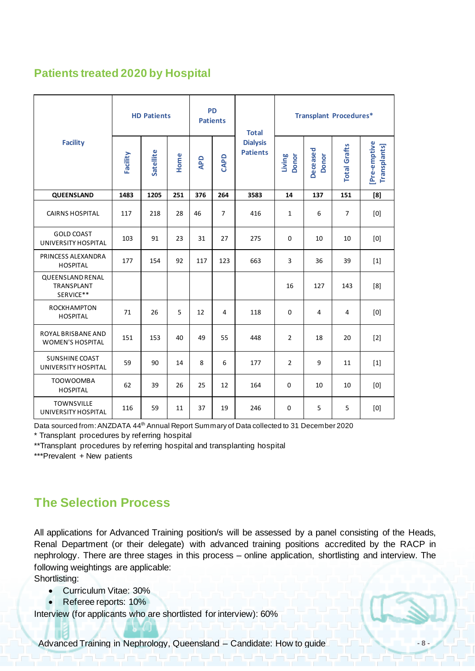### **Patients treated 2020 by Hospital**

| <b>Facility</b>                                      | <b>HD Patients</b> |           |      | <b>PD</b><br><b>Patients</b> |                | <b>Total</b>                       | <b>Transplant Procedures*</b> |                          |                     |                                    |
|------------------------------------------------------|--------------------|-----------|------|------------------------------|----------------|------------------------------------|-------------------------------|--------------------------|---------------------|------------------------------------|
|                                                      | Facility           | Satellite | Home | <b>APD</b>                   | CAPD           | <b>Dialysis</b><br><b>Patients</b> | Living<br><b>Donor</b>        | Deceased<br><b>Donor</b> | <b>Total Grafts</b> | [Pre-emptive<br><b>Transplants</b> |
| QUEENSLAND                                           | 1483               | 1205      | 251  | 376                          | 264            | 3583                               | 14                            | 137                      | 151                 | [8]                                |
| <b>CAIRNS HOSPITAL</b>                               | 117                | 218       | 28   | 46                           | $\overline{7}$ | 416                                | $\mathbf 1$                   | 6                        | $\overline{7}$      | [0]                                |
| <b>GOLD COAST</b><br>UNIVERSITY HOSPITAL             | 103                | 91        | 23   | 31                           | 27             | 275                                | $\Omega$                      | 10                       | 10                  | [0]                                |
| PRINCESS ALEXANDRA<br><b>HOSPITAL</b>                | 177                | 154       | 92   | 117                          | 123            | 663                                | 3                             | 36                       | 39                  | $[1]$                              |
| <b>QUEENSLAND RENAL</b><br>TRANSPLANT<br>SERVICE**   |                    |           |      |                              |                |                                    | 16                            | 127                      | 143                 | [8]                                |
| ROCKHAMPTON<br><b>HOSPITAL</b>                       | 71                 | 26        | 5    | 12                           | $\overline{4}$ | 118                                | $\Omega$                      | 4                        | $\overline{4}$      | [0]                                |
| <b>ROYAL BRISBANE AND</b><br><b>WOMEN'S HOSPITAL</b> | 151                | 153       | 40   | 49                           | 55             | 448                                | $\overline{2}$                | 18                       | 20                  | $[2]$                              |
| <b>SUNSHINE COAST</b><br>UNIVERSITY HOSPITAL         | 59                 | 90        | 14   | 8                            | 6              | 177                                | $\overline{2}$                | 9                        | 11                  | $[1]$                              |
| <b>TOOWOOMBA</b><br><b>HOSPITAL</b>                  | 62                 | 39        | 26   | 25                           | 12             | 164                                | $\Omega$                      | 10                       | 10                  | [0]                                |
| <b>TOWNSVILLE</b><br>UNIVERSITY HOSPITAL             | 116                | 59        | 11   | 37                           | 19             | 246                                | $\Omega$                      | 5                        | 5                   | [0]                                |

Data sourced from: ANZDATA 44<sup>th</sup> Annual Report Summary of Data collected to 31 December 2020

\* Transplant procedures by referring hospital

\*\*Transplant procedures by referring hospital and transplanting hospital

\*\*\*Prevalent + New patients

### <span id="page-8-0"></span>**The Selection Process**

All applications for Advanced Training position/s will be assessed by a panel consisting of the Heads, Renal Department (or their delegate) with advanced training positions accredited by the RACP in nephrology. There are three stages in this process – online application, shortlisting and interview. The following weightings are applicable:

Shortlisting:

- Curriculum Vitae: 30%
- Referee reports: 10%

Interview (for applicants who are shortlisted for interview): 60%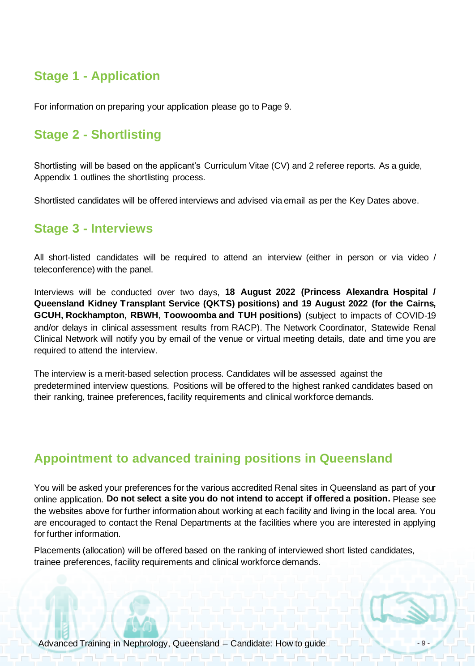### <span id="page-9-0"></span>**Stage 1 - Application**

<span id="page-9-1"></span>For information on preparing your application please go to Page 9.

### **Stage 2 - Shortlisting**

Shortlisting will be based on the applicant's Curriculum Vitae (CV) and 2 referee reports. As a guide, Appendix 1 outlines the shortlisting process.

<span id="page-9-2"></span>Shortlisted candidates will be offered interviews and advised via email as per the Key Dates above.

### **Stage 3 - Interviews**

All short-listed candidates will be required to attend an interview (either in person or via video / teleconference) with the panel.

Interviews will be conducted over two days, **18 August 2022 (Princess Alexandra Hospital / Queensland Kidney Transplant Service (QKTS) positions) and 19 August 2022 (for the Cairns, GCUH, Rockhampton, RBWH, Toowoomba and TUH positions)** (subject to impacts of COVID-19 and/or delays in clinical assessment results from RACP). The Network Coordinator, Statewide Renal Clinical Network will notify you by email of the venue or virtual meeting details, date and time you are required to attend the interview.

The interview is a merit-based selection process. Candidates will be assessed against the predetermined interview questions. Positions will be offered to the highest ranked candidates based on their ranking, trainee preferences, facility requirements and clinical workforce demands.

### <span id="page-9-3"></span>**Appointment to advanced training positions in Queensland**

You will be asked your preferences for the various accredited Renal sites in Queensland as part of your online application. **Do not select a site you do not intend to accept if offered a position.** Please see the websites above for further information about working at each facility and living in the local area. You are encouraged to contact the Renal Departments at the facilities where you are interested in applying for further information.

Placements (allocation) will be offered based on the ranking of interviewed short listed candidates, trainee preferences, facility requirements and clinical workforce demands.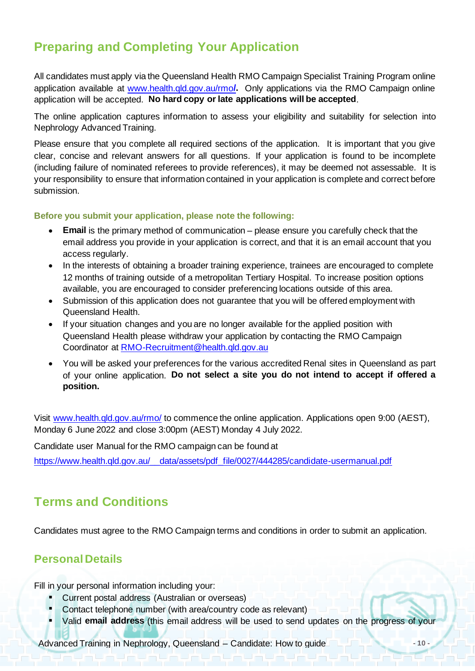# <span id="page-10-0"></span>**Preparing and Completing Your Application**

All candidates must apply via the Queensland Health RMO Campaign Specialist Training Program online application available at [www.health.qld.gov.au/rmo](http://www.health.qld.gov.au/rmo/)**/.** Only applications via the RMO Campaign online application will be accepted. **No hard copy or late applications will be accepted**.

The online application captures information to assess your eligibility and suitability for selection into Nephrology Advanced Training.

Please ensure that you complete all required sections of the application. It is important that you give clear, concise and relevant answers for all questions. If your application is found to be incomplete (including failure of nominated referees to provide references), it may be deemed not assessable. It is your responsibility to ensure that information contained in your application is complete and correct before submission.

**Before you submit your application, please note the following:**

- **Email** is the primary method of communication please ensure you carefully check that the email address you provide in your application is correct, and that it is an email account that you access regularly.
- In the interests of obtaining a broader training experience, trainees are encouraged to complete 12 months of training outside of a metropolitan Tertiary Hospital. To increase position options available, you are encouraged to consider preferencing locations outside of this area.
- Submission of this application does not guarantee that you will be offered employment with Queensland Health.
- If your situation changes and you are no longer available for the applied position with Queensland Health please withdraw your application by contacting the RMO Campaign Coordinator at [RMO-Recruitment@health.qld.gov.au](mailto:RMO-Recruitment@health.qld.gov.au)
- You will be asked your preferences for the various accredited Renal sites in Queensland as part of your online application. **Do not select a site you do not intend to accept if offered a position.**

Visit [www.health.qld.gov.au/rmo/](http://www.health.qld.gov.au/rmo/) to commence the online application. Applications open 9:00 (AEST), Monday 6 June 2022 and close 3:00pm (AEST) Monday 4 July 2022.

Candidate user Manual for the RMO campaign can be found at

[https://www.health.qld.gov.au/\\_\\_data/assets/pdf\\_file/0027/444285/candidate-usermanual.pdf](https://www.health.qld.gov.au/__data/assets/pdf_file/0027/444285/candidate-usermanual.pdf)

### <span id="page-10-1"></span>**Terms and Conditions**

Candidates must agree to the RMO Campaign terms and conditions in order to submit an application.

### <span id="page-10-2"></span>**Personal Details**

Fill in your personal information including your:

- Current postal address (Australian or overseas)
- Contact telephone number (with area/country code as relevant)
- Valid email address (this email address will be used to send updates on the progress of your

Advanced Training in Nephrology, Queensland – Candidate: How to guide **Advanced Training in Nephrology**, Queensland – Candidate: How to guide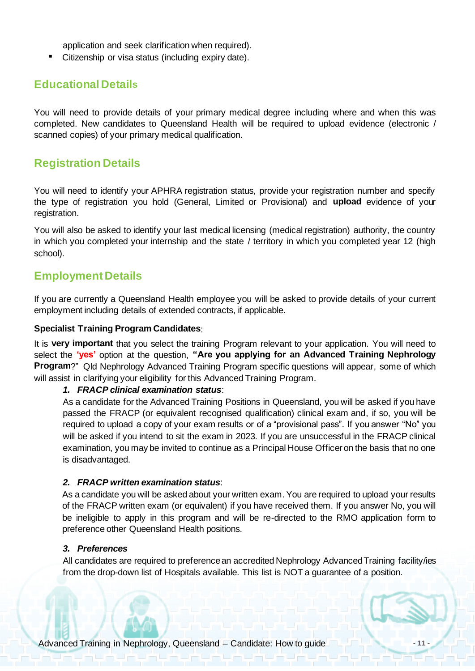application and seek clarification when required).

▪ Citizenship or visa status (including expiry date).

### <span id="page-11-0"></span>**Educational Details**

You will need to provide details of your primary medical degree including where and when this was completed. New candidates to Queensland Health will be required to upload evidence (electronic / scanned copies) of your primary medical qualification.

### <span id="page-11-1"></span>**Registration Details**

You will need to identify your APHRA registration status, provide your registration number and specify the type of registration you hold (General, Limited or Provisional) and **upload** evidence of your registration.

You will also be asked to identify your last medical licensing (medical registration) authority, the country in which you completed your internship and the state / territory in which you completed year 12 (high school).

### <span id="page-11-2"></span>**Employment Details**

If you are currently a Queensland Health employee you will be asked to provide details of your current employment including details of extended contracts, if applicable.

#### **Specialist Training Program Candidates**:

It is **very important** that you select the training Program relevant to your application. You will need to select the **'yes'** option at the question, **"Are you applying for an Advanced Training Nephrology Program**?" Qld Nephrology Advanced Training Program specific questions will appear, some of which will assist in clarifying your eligibility for this Advanced Training Program.

#### *1. FRACP clinical examination status*:

As a candidate for the Advanced Training Positions in Queensland, you will be asked if you have passed the FRACP (or equivalent recognised qualification) clinical exam and, if so, you will be required to upload a copy of your exam results or of a "provisional pass". If you answer "No" you will be asked if you intend to sit the exam in 2023. If you are unsuccessful in the FRACP clinical examination, you may be invited to continue as a Principal House Officer on the basis that no one is disadvantaged.

#### *2. FRACP written examination status*:

As a candidate you will be asked about your written exam. You are required to upload your results of the FRACP written exam (or equivalent) if you have received them. If you answer No, you will be ineligible to apply in this program and will be re-directed to the RMO application form to preference other Queensland Health positions.

#### *3. Preferences*

All candidates are required to preference an accredited Nephrology Advanced Training facility/ies from the drop-down list of Hospitals available. This list is NOT a guarantee of a position.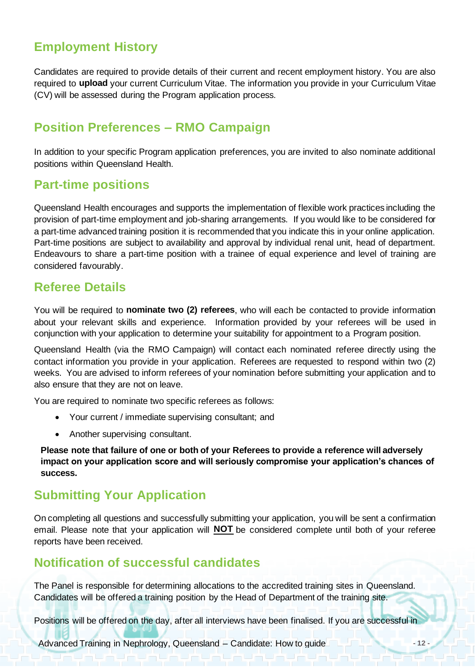## <span id="page-12-0"></span>**Employment History**

<span id="page-12-1"></span>Candidates are required to provide details of their current and recent employment history. You are also required to **upload** your current Curriculum Vitae. The information you provide in your Curriculum Vitae (CV) will be assessed during the Program application process.

### **Position Preferences – RMO Campaign**

In addition to your specific Program application preferences, you are invited to also nominate additional positions within Queensland Health.

### <span id="page-12-2"></span>**Part-time positions**

Queensland Health encourages and supports the implementation of flexible work practices including the provision of part-time employment and job-sharing arrangements. If you would like to be considered for a part-time advanced training position it is recommended that you indicate this in your online application. Part-time positions are subject to availability and approval by individual renal unit, head of department. Endeavours to share a part-time position with a trainee of equal experience and level of training are considered favourably.

### <span id="page-12-3"></span>**Referee Details**

You will be required to **nominate two (2) referees**, who will each be contacted to provide information about your relevant skills and experience. Information provided by your referees will be used in conjunction with your application to determine your suitability for appointment to a Program position.

Queensland Health (via the RMO Campaign) will contact each nominated referee directly using the contact information you provide in your application. Referees are requested to respond within two (2) weeks. You are advised to inform referees of your nomination before submitting your application and to also ensure that they are not on leave.

You are required to nominate two specific referees as follows:

- Your current / immediate supervising consultant; and
- Another supervising consultant.

**Please note that failure of one or both of your Referees to provide a reference will adversely impact on your application score and will seriously compromise your application's chances of success.** 

### <span id="page-12-4"></span>**Submitting Your Application**

On completing all questions and successfully submitting your application, you will be sent a confirmation email. Please note that your application will **NOT** be considered complete until both of your referee reports have been received.

### <span id="page-12-5"></span>**Notification of successful candidates**

The Panel is responsible for determining allocations to the accredited training sites in Queensland. Candidates will be offered a training position by the Head of Department of the training site.

Positions will be offered on the day, after all interviews have been finalised. If you are successful in

Advanced Training in Nephrology, Queensland – Candidate: How to guide **- 12 -**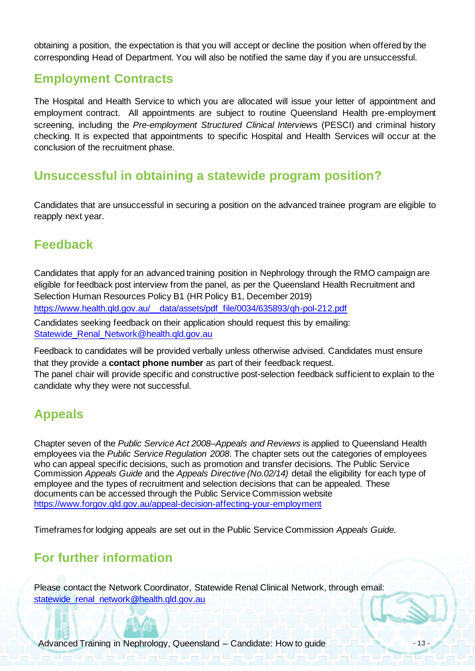obtaining a position, the expectation is that you will accept or decline the position when offered by the corresponding Head of Department. You will also be notified the same day if you are unsuccessful.

### <span id="page-13-0"></span>**Employment Contracts**

The Hospital and Health Service to which you are allocated will issue your letter of appointment and employment contract. All appointments are subject to routine Queensland Health pre-employment screening, including the *Pre-employment Structured Clinical Interview*s (PESCI) and criminal history checking. It is expected that appointments to specific Hospital and Health Services will occur at the conclusion of the recruitment phase.

### <span id="page-13-1"></span>**Unsuccessful in obtaining a statewide program position?**

Candidates that are unsuccessful in securing a position on the advanced trainee program are eligible to reapply next year.

### <span id="page-13-2"></span>**Feedback**

Candidates that apply for an advanced training position in Nephrology through the RMO campaign are eligible for feedback post interview from the panel, as per the Queensland Health Recruitment and Selection Human Resources Policy B1 (HR Policy B1, December 2019) [https://www.health.qld.gov.au/\\_\\_data/assets/pdf\\_file/0034/635893/qh-pol-212.pdf](https://www.health.qld.gov.au/__data/assets/pdf_file/0034/635893/qh-pol-212.pdf) Candidates seeking feedback on their application should request this by emailing: [Statewide\\_Renal\\_Network@health.qld.gov.au](mailto:Statewide_Renal_Network@health.qld.gov.au)

Feedback to candidates will be provided verbally unless otherwise advised. Candidates must ensure that they provide a **contact phone number** as part of their feedback request. The panel chair will provide specific and constructive post-selection feedback sufficient to explain to the candidate why they were not successful.

### <span id="page-13-3"></span>**Appeals**

Chapter seven of the *Public Service Act 2008–Appeals and Reviews* is applied to Queensland Health employees via the *Public Service Regulation 2008*. The chapter sets out the categories of employees who can appeal specific decisions, such as promotion and transfer decisions. The Public Service Commission *Appeals Guide* and the *Appeals Directive (No.02/14)* detail the eligibility for each type of employee and the types of recruitment and selection decisions that can be appealed. These documents can be accessed through the Public Service Commission website <https://www.forgov.qld.gov.au/appeal-decision-affecting-your-employment>

<span id="page-13-4"></span>Timeframes for lodging appeals are set out in the Public Service Commission *Appeals Guide.* 

# **For further information**

Please contact the Network Coordinator, Statewide Renal Clinical Network, through email: [statewide\\_renal\\_network@health.qld.gov.au](mailto:statewide_renal_network@health.qld.gov.au)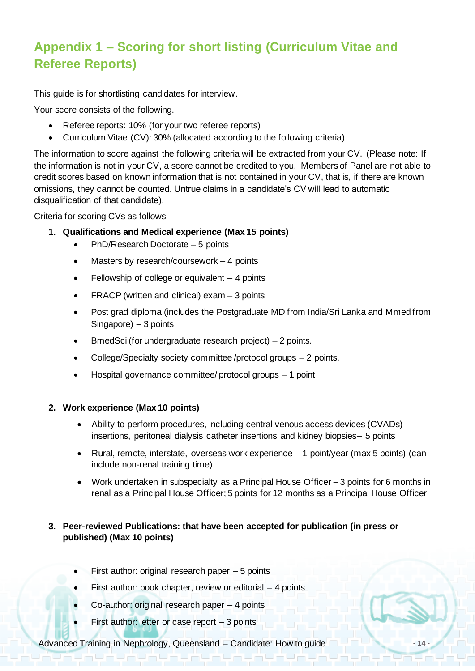# <span id="page-14-0"></span>**Appendix 1 – Scoring for short listing (Curriculum Vitae and Referee Reports)**

This guide is for shortlisting candidates for interview.

Your score consists of the following.

- Referee reports: 10% (for your two referee reports)
- Curriculum Vitae (CV): 30% (allocated according to the following criteria)

The information to score against the following criteria will be extracted from your CV. (Please note: If the information is not in your CV, a score cannot be credited to you. Members of Panel are not able to credit scores based on known information that is not contained in your CV, that is, if there are known omissions, they cannot be counted. Untrue claims in a candidate's CV will lead to automatic disqualification of that candidate).

Criteria for scoring CVs as follows:

- **1. Qualifications and Medical experience (Max 15 points)**
	- PhD/Research Doctorate 5 points
	- Masters by research/coursework  $-4$  points
	- Fellowship of college or equivalent  $-4$  points
	- FRACP (written and clinical) exam  $-3$  points
	- Post grad diploma (includes the Postgraduate MD from India/Sri Lanka and Mmed from Singapore) – 3 points
	- BmedSci (for undergraduate research project) 2 points.
	- College/Specialty society committee /protocol groups 2 points.
	- Hospital governance committee/ protocol groups 1 point

#### **2. Work experience (Max 10 points)**

- Ability to perform procedures, including central venous access devices (CVADs) insertions, peritoneal dialysis catheter insertions and kidney biopsies– 5 points
- Rural, remote, interstate, overseas work experience 1 point/year (max 5 points) (can include non-renal training time)
- Work undertaken in subspecialty as a Principal House Officer 3 points for 6 months in renal as a Principal House Officer; 5 points for 12 months as a Principal House Officer.

#### **3. Peer-reviewed Publications: that have been accepted for publication (in press or published) (Max 10 points)**

- First author: original research paper  $-5$  points
- First author: book chapter, review or editorial  $-4$  points
- Co-author: original research paper  $-4$  points
- First author: letter or case report  $-3$  points

Advanced Training in Nephrology, Queensland – Candidate: How to guide **- 14 -**